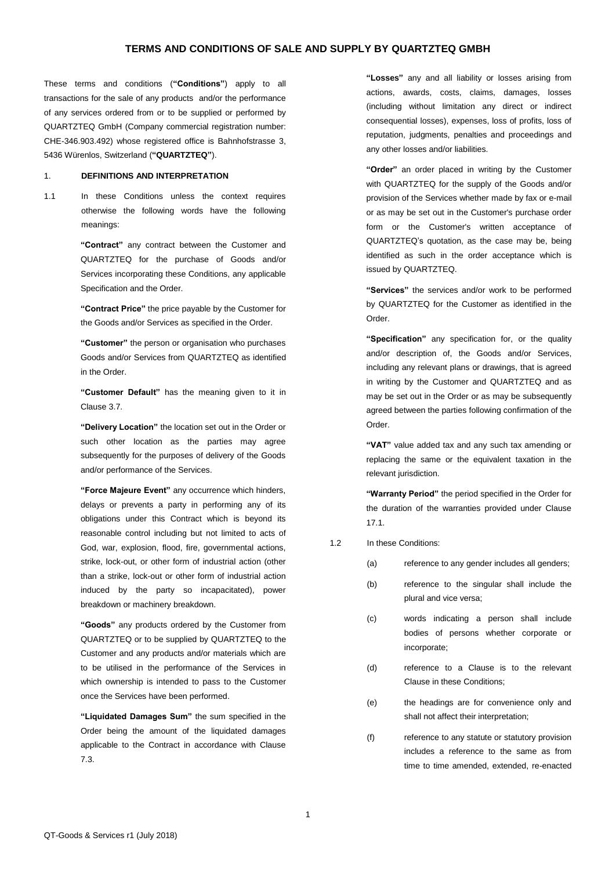These terms and conditions (**"Conditions"**) apply to all transactions for the sale of any products and/or the performance of any services ordered from or to be supplied or performed by QUARTZTEQ GmbH (Company commercial registration number: CHE-346.903.492) whose registered office is Bahnhofstrasse 3, 5436 Würenlos, Switzerland (**"QUARTZTEQ"**).

#### 1. **DEFINITIONS AND INTERPRETATION**

1.1 In these Conditions unless the context requires otherwise the following words have the following meanings:

> **"Contract"** any contract between the Customer and QUARTZTEQ for the purchase of Goods and/or Services incorporating these Conditions, any applicable Specification and the Order.

> **"Contract Price"** the price payable by the Customer for the Goods and/or Services as specified in the Order.

> **"Customer"** the person or organisation who purchases Goods and/or Services from QUARTZTEQ as identified in the Order.

> **"Customer Default"** has the meaning given to it in Clause [3.7.](#page-1-0)

> **"Delivery Location"** the location set out in the Order or such other location as the parties may agree subsequently for the purposes of delivery of the Goods and/or performance of the Services.

> **"Force Majeure Event"** any occurrence which hinders, delays or prevents a party in performing any of its obligations under this Contract which is beyond its reasonable control including but not limited to acts of God, war, explosion, flood, fire, governmental actions, strike, lock-out, or other form of industrial action (other than a strike, lock-out or other form of industrial action induced by the party so incapacitated), power breakdown or machinery breakdown.

> **"Goods"** any products ordered by the Customer from QUARTZTEQ or to be supplied by QUARTZTEQ to the Customer and any products and/or materials which are to be utilised in the performance of the Services in which ownership is intended to pass to the Customer once the Services have been performed.

> **"Liquidated Damages Sum"** the sum specified in the Order being the amount of the liquidated damages applicable to the Contract in accordance with Clause [7.3.](#page-2-0)

**"Losses"** any and all liability or losses arising from actions, awards, costs, claims, damages, losses (including without limitation any direct or indirect consequential losses), expenses, loss of profits, loss of reputation, judgments, penalties and proceedings and any other losses and/or liabilities.

**"Order"** an order placed in writing by the Customer with QUARTZTEQ for the supply of the Goods and/or provision of the Services whether made by fax or e-mail or as may be set out in the Customer's purchase order form or the Customer's written acceptance of QUARTZTEQ's quotation, as the case may be, being identified as such in the order acceptance which is issued by QUARTZTEQ.

**"Services"** the services and/or work to be performed by QUARTZTEQ for the Customer as identified in the Order.

**"Specification"** any specification for, or the quality and/or description of, the Goods and/or Services, including any relevant plans or drawings, that is agreed in writing by the Customer and QUARTZTEQ and as may be set out in the Order or as may be subsequently agreed between the parties following confirmation of the Order.

**"VAT"** value added tax and any such tax amending or replacing the same or the equivalent taxation in the relevant jurisdiction.

**"Warranty Period"** the period specified in the Order for the duration of the warranties provided under Clause [17.1.](#page-5-0)

#### 1.2 In these Conditions:

- (a) reference to any gender includes all genders;
- (b) reference to the singular shall include the plural and vice versa;
- (c) words indicating a person shall include bodies of persons whether corporate or incorporate;
- (d) reference to a Clause is to the relevant Clause in these Conditions;
- (e) the headings are for convenience only and shall not affect their interpretation;
- (f) reference to any statute or statutory provision includes a reference to the same as from time to time amended, extended, re-enacted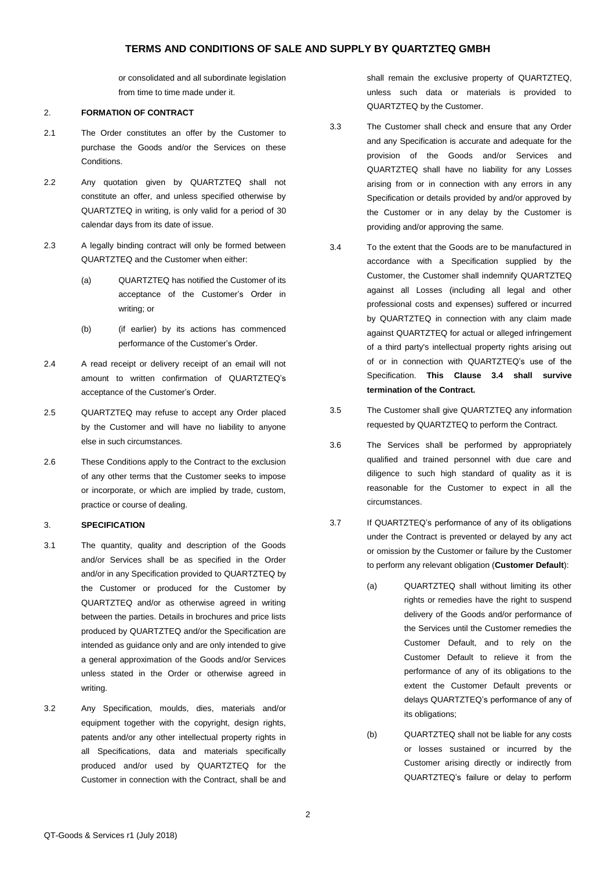or consolidated and all subordinate legislation from time to time made under it.

### 2. **FORMATION OF CONTRACT**

- 2.1 The Order constitutes an offer by the Customer to purchase the Goods and/or the Services on these Conditions.
- 2.2 Any quotation given by QUARTZTEQ shall not constitute an offer, and unless specified otherwise by QUARTZTEQ in writing, is only valid for a period of 30 calendar days from its date of issue.
- 2.3 A legally binding contract will only be formed between QUARTZTEQ and the Customer when either:
	- (a) QUARTZTEQ has notified the Customer of its acceptance of the Customer's Order in writing; or
	- (b) (if earlier) by its actions has commenced performance of the Customer's Order.
- 2.4 A read receipt or delivery receipt of an email will not amount to written confirmation of QUARTZTEQ's acceptance of the Customer's Order.
- 2.5 QUARTZTEQ may refuse to accept any Order placed by the Customer and will have no liability to anyone else in such circumstances.
- 2.6 These Conditions apply to the Contract to the exclusion of any other terms that the Customer seeks to impose or incorporate, or which are implied by trade, custom, practice or course of dealing.

## 3. **SPECIFICATION**

- 3.1 The quantity, quality and description of the Goods and/or Services shall be as specified in the Order and/or in any Specification provided to QUARTZTEQ by the Customer or produced for the Customer by QUARTZTEQ and/or as otherwise agreed in writing between the parties. Details in brochures and price lists produced by QUARTZTEQ and/or the Specification are intended as guidance only and are only intended to give a general approximation of the Goods and/or Services unless stated in the Order or otherwise agreed in writing.
- 3.2 Any Specification, moulds, dies, materials and/or equipment together with the copyright, design rights, patents and/or any other intellectual property rights in all Specifications, data and materials specifically produced and/or used by QUARTZTEQ for the Customer in connection with the Contract, shall be and

shall remain the exclusive property of QUARTZTEQ, unless such data or materials is provided to QUARTZTEQ by the Customer.

- 3.3 The Customer shall check and ensure that any Order and any Specification is accurate and adequate for the provision of the Goods and/or Services and QUARTZTEQ shall have no liability for any Losses arising from or in connection with any errors in any Specification or details provided by and/or approved by the Customer or in any delay by the Customer is providing and/or approving the same.
- <span id="page-1-1"></span>3.4 To the extent that the Goods are to be manufactured in accordance with a Specification supplied by the Customer, the Customer shall indemnify QUARTZTEQ against all Losses (including all legal and other professional costs and expenses) suffered or incurred by QUARTZTEQ in connection with any claim made against QUARTZTEQ for actual or alleged infringement of a third party's intellectual property rights arising out of or in connection with QUARTZTEQ's use of the Specification. **This Clause [3.4](#page-1-1) shall survive termination of the Contract.**
- 3.5 The Customer shall give QUARTZTEQ any information requested by QUARTZTEQ to perform the Contract.
- 3.6 The Services shall be performed by appropriately qualified and trained personnel with due care and diligence to such high standard of quality as it is reasonable for the Customer to expect in all the circumstances.
- <span id="page-1-0"></span>3.7 If QUARTZTEQ's performance of any of its obligations under the Contract is prevented or delayed by any act or omission by the Customer or failure by the Customer to perform any relevant obligation (**Customer Default**):
	- (a) QUARTZTEQ shall without limiting its other rights or remedies have the right to suspend delivery of the Goods and/or performance of the Services until the Customer remedies the Customer Default, and to rely on the Customer Default to relieve it from the performance of any of its obligations to the extent the Customer Default prevents or delays QUARTZTEQ's performance of any of its obligations;
	- (b) QUARTZTEQ shall not be liable for any costs or losses sustained or incurred by the Customer arising directly or indirectly from QUARTZTEQ's failure or delay to perform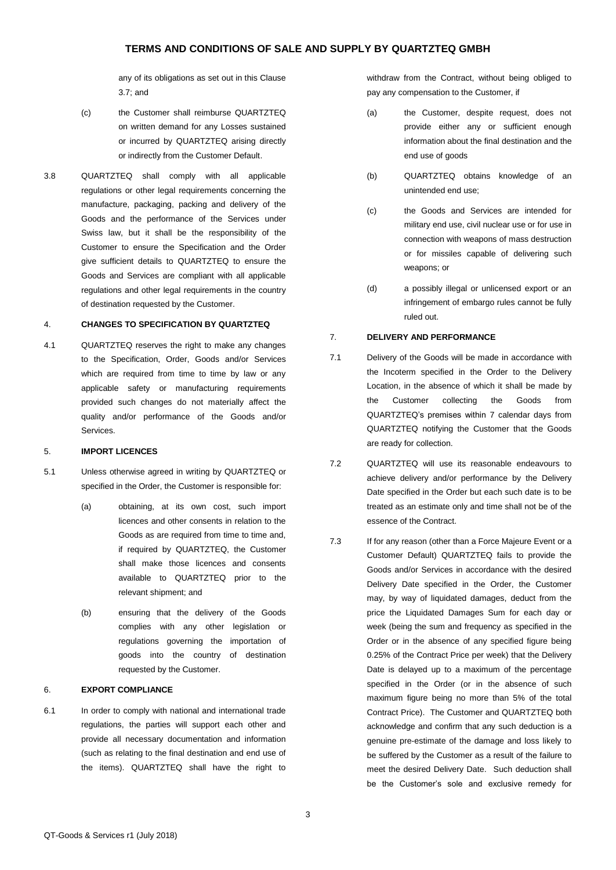any of its obligations as set out in this Clause [3.7;](#page-1-0) and

- (c) the Customer shall reimburse QUARTZTEQ on written demand for any Losses sustained or incurred by QUARTZTEQ arising directly or indirectly from the Customer Default.
- 3.8 QUARTZTEQ shall comply with all applicable regulations or other legal requirements concerning the manufacture, packaging, packing and delivery of the Goods and the performance of the Services under Swiss law, but it shall be the responsibility of the Customer to ensure the Specification and the Order give sufficient details to QUARTZTEQ to ensure the Goods and Services are compliant with all applicable regulations and other legal requirements in the country of destination requested by the Customer.

#### 4. **CHANGES TO SPECIFICATION BY QUARTZTEQ**

4.1 QUARTZTEQ reserves the right to make any changes to the Specification, Order, Goods and/or Services which are required from time to time by law or any applicable safety or manufacturing requirements provided such changes do not materially affect the quality and/or performance of the Goods and/or Services.

### 5. **IMPORT LICENCES**

- 5.1 Unless otherwise agreed in writing by QUARTZTEQ or specified in the Order, the Customer is responsible for:
	- (a) obtaining, at its own cost, such import licences and other consents in relation to the Goods as are required from time to time and, if required by QUARTZTEQ, the Customer shall make those licences and consents available to QUARTZTEQ prior to the relevant shipment; and
	- (b) ensuring that the delivery of the Goods complies with any other legislation or regulations governing the importation of goods into the country of destination requested by the Customer.

#### 6. **EXPORT COMPLIANCE**

6.1 In order to comply with national and international trade regulations, the parties will support each other and provide all necessary documentation and information (such as relating to the final destination and end use of the items). QUARTZTEQ shall have the right to withdraw from the Contract, without being obliged to pay any compensation to the Customer, if

- (a) the Customer, despite request, does not provide either any or sufficient enough information about the final destination and the end use of goods
- (b) QUARTZTEQ obtains knowledge of an unintended end use;
- (c) the Goods and Services are intended for military end use, civil nuclear use or for use in connection with weapons of mass destruction or for missiles capable of delivering such weapons; or
- (d) a possibly illegal or unlicensed export or an infringement of embargo rules cannot be fully ruled out.

## 7. **DELIVERY AND PERFORMANCE**

- 7.1 Delivery of the Goods will be made in accordance with the Incoterm specified in the Order to the Delivery Location, in the absence of which it shall be made by the Customer collecting the Goods from QUARTZTEQ's premises within 7 calendar days from QUARTZTEQ notifying the Customer that the Goods are ready for collection.
- 7.2 QUARTZTEQ will use its reasonable endeavours to achieve delivery and/or performance by the Delivery Date specified in the Order but each such date is to be treated as an estimate only and time shall not be of the essence of the Contract.
- <span id="page-2-0"></span>7.3 If for any reason (other than a Force Majeure Event or a Customer Default) QUARTZTEQ fails to provide the Goods and/or Services in accordance with the desired Delivery Date specified in the Order, the Customer may, by way of liquidated damages, deduct from the price the Liquidated Damages Sum for each day or week (being the sum and frequency as specified in the Order or in the absence of any specified figure being 0.25% of the Contract Price per week) that the Delivery Date is delayed up to a maximum of the percentage specified in the Order (or in the absence of such maximum figure being no more than 5% of the total Contract Price). The Customer and QUARTZTEQ both acknowledge and confirm that any such deduction is a genuine pre-estimate of the damage and loss likely to be suffered by the Customer as a result of the failure to meet the desired Delivery Date. Such deduction shall be the Customer's sole and exclusive remedy for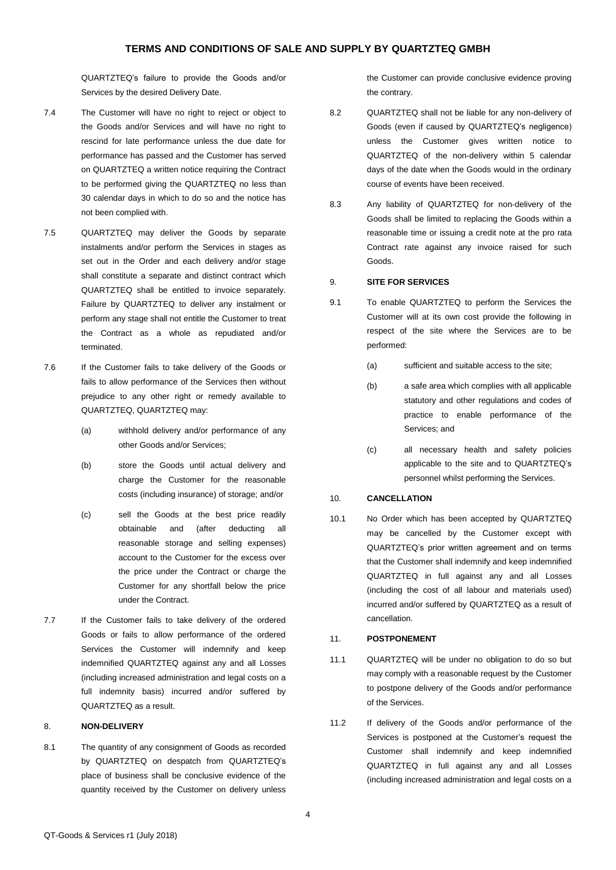QUARTZTEQ's failure to provide the Goods and/or Services by the desired Delivery Date.

- 7.4 The Customer will have no right to reject or object to the Goods and/or Services and will have no right to rescind for late performance unless the due date for performance has passed and the Customer has served on QUARTZTEQ a written notice requiring the Contract to be performed giving the QUARTZTEQ no less than 30 calendar days in which to do so and the notice has not been complied with.
- 7.5 QUARTZTEQ may deliver the Goods by separate instalments and/or perform the Services in stages as set out in the Order and each delivery and/or stage shall constitute a separate and distinct contract which QUARTZTEQ shall be entitled to invoice separately. Failure by QUARTZTEQ to deliver any instalment or perform any stage shall not entitle the Customer to treat the Contract as a whole as repudiated and/or terminated.
- 7.6 If the Customer fails to take delivery of the Goods or fails to allow performance of the Services then without prejudice to any other right or remedy available to QUARTZTEQ, QUARTZTEQ may:
	- (a) withhold delivery and/or performance of any other Goods and/or Services;
	- (b) store the Goods until actual delivery and charge the Customer for the reasonable costs (including insurance) of storage; and/or
	- (c) sell the Goods at the best price readily obtainable and (after deducting all reasonable storage and selling expenses) account to the Customer for the excess over the price under the Contract or charge the Customer for any shortfall below the price under the Contract.
- 7.7 If the Customer fails to take delivery of the ordered Goods or fails to allow performance of the ordered Services the Customer will indemnify and keep indemnified QUARTZTEQ against any and all Losses (including increased administration and legal costs on a full indemnity basis) incurred and/or suffered by QUARTZTEQ as a result.

#### 8. **NON-DELIVERY**

8.1 The quantity of any consignment of Goods as recorded by QUARTZTEQ on despatch from QUARTZTEQ's place of business shall be conclusive evidence of the quantity received by the Customer on delivery unless the Customer can provide conclusive evidence proving the contrary.

- 8.2 QUARTZTEQ shall not be liable for any non-delivery of Goods (even if caused by QUARTZTEQ's negligence) unless the Customer gives written notice to QUARTZTEQ of the non-delivery within 5 calendar days of the date when the Goods would in the ordinary course of events have been received.
- 8.3 Any liability of QUARTZTEQ for non-delivery of the Goods shall be limited to replacing the Goods within a reasonable time or issuing a credit note at the pro rata Contract rate against any invoice raised for such Goods.

#### 9. **SITE FOR SERVICES**

- 9.1 To enable QUARTZTEQ to perform the Services the Customer will at its own cost provide the following in respect of the site where the Services are to be performed:
	- (a) sufficient and suitable access to the site;
	- (b) a safe area which complies with all applicable statutory and other regulations and codes of practice to enable performance of the Services; and
	- (c) all necessary health and safety policies applicable to the site and to QUARTZTEQ's personnel whilst performing the Services.

## 10. **CANCELLATION**

10.1 No Order which has been accepted by QUARTZTEQ may be cancelled by the Customer except with QUARTZTEQ's prior written agreement and on terms that the Customer shall indemnify and keep indemnified QUARTZTEQ in full against any and all Losses (including the cost of all labour and materials used) incurred and/or suffered by QUARTZTEQ as a result of cancellation.

## 11. **POSTPONEMENT**

- 11.1 QUARTZTEQ will be under no obligation to do so but may comply with a reasonable request by the Customer to postpone delivery of the Goods and/or performance of the Services.
- 11.2 If delivery of the Goods and/or performance of the Services is postponed at the Customer's request the Customer shall indemnify and keep indemnified QUARTZTEQ in full against any and all Losses (including increased administration and legal costs on a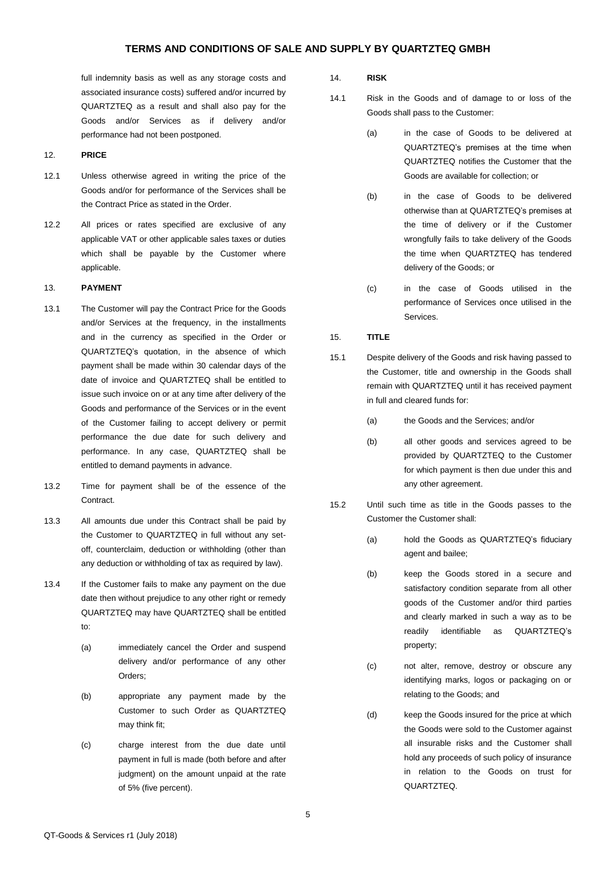full indemnity basis as well as any storage costs and associated insurance costs) suffered and/or incurred by QUARTZTEQ as a result and shall also pay for the Goods and/or Services as if delivery and/or performance had not been postponed.

- 12. **PRICE**
- 12.1 Unless otherwise agreed in writing the price of the Goods and/or for performance of the Services shall be the Contract Price as stated in the Order.
- 12.2 All prices or rates specified are exclusive of any applicable VAT or other applicable sales taxes or duties which shall be payable by the Customer where applicable.

### 13. **PAYMENT**

- 13.1 The Customer will pay the Contract Price for the Goods and/or Services at the frequency, in the installments and in the currency as specified in the Order or QUARTZTEQ's quotation, in the absence of which payment shall be made within 30 calendar days of the date of invoice and QUARTZTEQ shall be entitled to issue such invoice on or at any time after delivery of the Goods and performance of the Services or in the event of the Customer failing to accept delivery or permit performance the due date for such delivery and performance. In any case, QUARTZTEQ shall be entitled to demand payments in advance.
- 13.2 Time for payment shall be of the essence of the Contract.
- 13.3 All amounts due under this Contract shall be paid by the Customer to QUARTZTEQ in full without any setoff, counterclaim, deduction or withholding (other than any deduction or withholding of tax as required by law).
- 13.4 If the Customer fails to make any payment on the due date then without prejudice to any other right or remedy QUARTZTEQ may have QUARTZTEQ shall be entitled to:
	- (a) immediately cancel the Order and suspend delivery and/or performance of any other Orders;
	- (b) appropriate any payment made by the Customer to such Order as QUARTZTEQ may think fit;
	- (c) charge interest from the due date until payment in full is made (both before and after judgment) on the amount unpaid at the rate of 5% (five percent).

#### 14. **RISK**

- 14.1 Risk in the Goods and of damage to or loss of the Goods shall pass to the Customer:
	- (a) in the case of Goods to be delivered at QUARTZTEQ's premises at the time when QUARTZTEQ notifies the Customer that the Goods are available for collection; or
	- (b) in the case of Goods to be delivered otherwise than at QUARTZTEQ's premises at the time of delivery or if the Customer wrongfully fails to take delivery of the Goods the time when QUARTZTEQ has tendered delivery of the Goods; or
	- (c) in the case of Goods utilised in the performance of Services once utilised in the Services.

### <span id="page-4-0"></span>15. **TITLE**

- 15.1 Despite delivery of the Goods and risk having passed to the Customer, title and ownership in the Goods shall remain with QUARTZTEQ until it has received payment in full and cleared funds for:
	- (a) the Goods and the Services; and/or
	- (b) all other goods and services agreed to be provided by QUARTZTEQ to the Customer for which payment is then due under this and any other agreement.
- 15.2 Until such time as title in the Goods passes to the Customer the Customer shall:
	- (a) hold the Goods as QUARTZTEQ's fiduciary agent and bailee;
	- (b) keep the Goods stored in a secure and satisfactory condition separate from all other goods of the Customer and/or third parties and clearly marked in such a way as to be readily identifiable as QUARTZTEQ's property;
	- (c) not alter, remove, destroy or obscure any identifying marks, logos or packaging on or relating to the Goods; and
	- (d) keep the Goods insured for the price at which the Goods were sold to the Customer against all insurable risks and the Customer shall hold any proceeds of such policy of insurance in relation to the Goods on trust for QUARTZTEQ.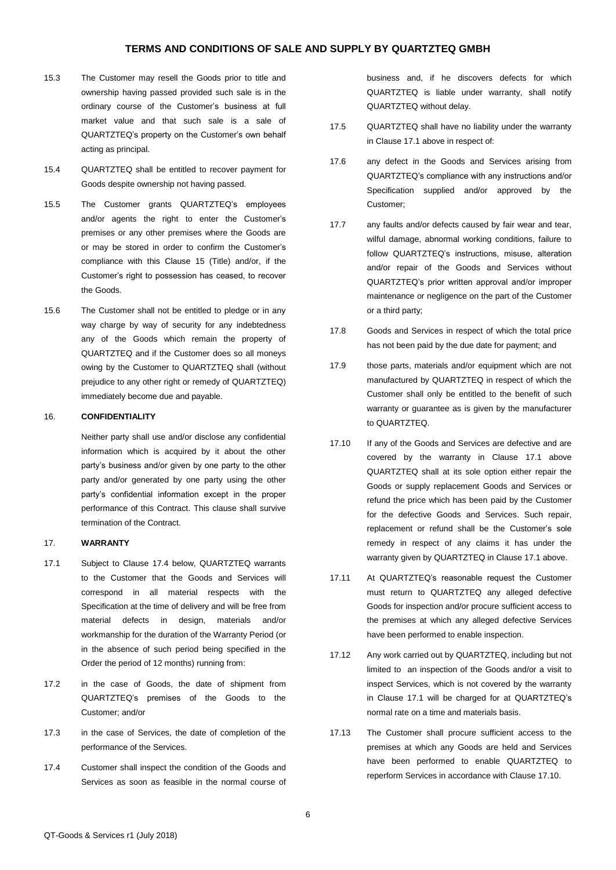- 15.3 The Customer may resell the Goods prior to title and ownership having passed provided such sale is in the ordinary course of the Customer's business at full market value and that such sale is a sale of QUARTZTEQ's property on the Customer's own behalf acting as principal.
- 15.4 QUARTZTEQ shall be entitled to recover payment for Goods despite ownership not having passed.
- 15.5 The Customer grants QUARTZTEQ's employees and/or agents the right to enter the Customer's premises or any other premises where the Goods are or may be stored in order to confirm the Customer's compliance with this Clause [15](#page-4-0) (Title) and/or, if the Customer's right to possession has ceased, to recover the Goods.
- 15.6 The Customer shall not be entitled to pledge or in any way charge by way of security for any indebtedness any of the Goods which remain the property of QUARTZTEQ and if the Customer does so all moneys owing by the Customer to QUARTZTEQ shall (without prejudice to any other right or remedy of QUARTZTEQ) immediately become due and payable.

#### 16. **CONFIDENTIALITY**

Neither party shall use and/or disclose any confidential information which is acquired by it about the other party's business and/or given by one party to the other party and/or generated by one party using the other party's confidential information except in the proper performance of this Contract. This clause shall survive termination of the Contract.

#### 17. **WARRANTY**

- <span id="page-5-0"></span>17.1 Subject to Clause [17.4](#page-5-1) below, QUARTZTEQ warrants to the Customer that the Goods and Services will correspond in all material respects with the Specification at the time of delivery and will be free from material defects in design, materials and/or workmanship for the duration of the Warranty Period (or in the absence of such period being specified in the Order the period of 12 months) running from:
- 17.2 in the case of Goods, the date of shipment from QUARTZTEQ's premises of the Goods to the Customer; and/or
- 17.3 in the case of Services, the date of completion of the performance of the Services.
- <span id="page-5-1"></span>17.4 Customer shall inspect the condition of the Goods and Services as soon as feasible in the normal course of

business and, if he discovers defects for which QUARTZTEQ is liable under warranty, shall notify QUARTZTEQ without delay.

- 17.5 QUARTZTEQ shall have no liability under the warranty in Claus[e 17.1](#page-5-0) above in respect of:
- 17.6 any defect in the Goods and Services arising from QUARTZTEQ's compliance with any instructions and/or Specification supplied and/or approved by the Customer;
- 17.7 any faults and/or defects caused by fair wear and tear, wilful damage, abnormal working conditions, failure to follow QUARTZTEQ's instructions, misuse, alteration and/or repair of the Goods and Services without QUARTZTEQ's prior written approval and/or improper maintenance or negligence on the part of the Customer or a third party;
- 17.8 Goods and Services in respect of which the total price has not been paid by the due date for payment; and
- 17.9 those parts, materials and/or equipment which are not manufactured by QUARTZTEQ in respect of which the Customer shall only be entitled to the benefit of such warranty or guarantee as is given by the manufacturer to QUARTZTEQ.
- <span id="page-5-2"></span>17.10 If any of the Goods and Services are defective and are covered by the warranty in Clause [17.1](#page-5-0) above QUARTZTEQ shall at its sole option either repair the Goods or supply replacement Goods and Services or refund the price which has been paid by the Customer for the defective Goods and Services. Such repair, replacement or refund shall be the Customer's sole remedy in respect of any claims it has under the warranty given by QUARTZTEQ in Claus[e 17.1](#page-5-0) above.
- 17.11 At QUARTZTEQ's reasonable request the Customer must return to QUARTZTEQ any alleged defective Goods for inspection and/or procure sufficient access to the premises at which any alleged defective Services have been performed to enable inspection.
- 17.12 Any work carried out by QUARTZTEQ, including but not limited to an inspection of the Goods and/or a visit to inspect Services, which is not covered by the warranty in Clause [17.1](#page-5-0) will be charged for at QUARTZTEQ's normal rate on a time and materials basis.
- 17.13 The Customer shall procure sufficient access to the premises at which any Goods are held and Services have been performed to enable QUARTZTEQ to reperform Services in accordance with Claus[e 17.10.](#page-5-2)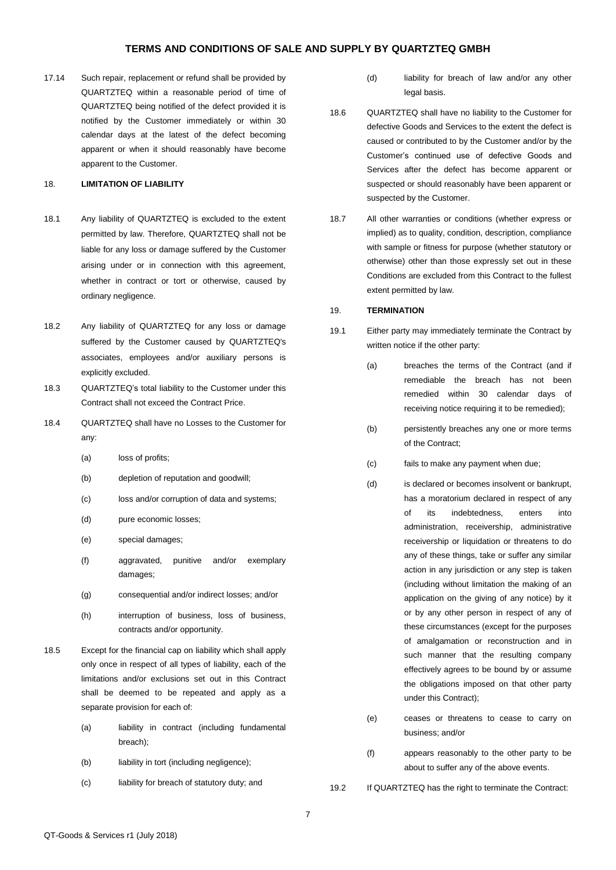17.14 Such repair, replacement or refund shall be provided by QUARTZTEQ within a reasonable period of time of QUARTZTEQ being notified of the defect provided it is notified by the Customer immediately or within 30 calendar days at the latest of the defect becoming apparent or when it should reasonably have become apparent to the Customer.

### 18. **LIMITATION OF LIABILITY**

- 18.1 Any liability of QUARTZTEQ is excluded to the extent permitted by law. Therefore, QUARTZTEQ shall not be liable for any loss or damage suffered by the Customer arising under or in connection with this agreement, whether in contract or tort or otherwise, caused by ordinary negligence.
- 18.2 Any liability of QUARTZTEQ for any loss or damage suffered by the Customer caused by QUARTZTEQ's associates, employees and/or auxiliary persons is explicitly excluded.
- 18.3 QUARTZTEQ's total liability to the Customer under this Contract shall not exceed the Contract Price.
- 18.4 QUARTZTEQ shall have no Losses to the Customer for any:
	- (a) loss of profits;
	- (b) depletion of reputation and goodwill;
	- (c) loss and/or corruption of data and systems;
	- (d) pure economic losses;
	- (e) special damages;
	- (f) aggravated, punitive and/or exemplary damages;
	- (g) consequential and/or indirect losses; and/or
	- (h) interruption of business, loss of business, contracts and/or opportunity.
- 18.5 Except for the financial cap on liability which shall apply only once in respect of all types of liability, each of the limitations and/or exclusions set out in this Contract shall be deemed to be repeated and apply as a separate provision for each of:
	- (a) liability in contract (including fundamental breach);
	- (b) liability in tort (including negligence);
	- (c) liability for breach of statutory duty; and
- (d) liability for breach of law and/or any other legal basis.
- 18.6 QUARTZTEQ shall have no liability to the Customer for defective Goods and Services to the extent the defect is caused or contributed to by the Customer and/or by the Customer's continued use of defective Goods and Services after the defect has become apparent or suspected or should reasonably have been apparent or suspected by the Customer.
- 18.7 All other warranties or conditions (whether express or implied) as to quality, condition, description, compliance with sample or fitness for purpose (whether statutory or otherwise) other than those expressly set out in these Conditions are excluded from this Contract to the fullest extent permitted by law.

### 19. **TERMINATION**

- 19.1 Either party may immediately terminate the Contract by written notice if the other party:
	- (a) breaches the terms of the Contract (and if remediable the breach has not been remedied within 30 calendar days of receiving notice requiring it to be remedied);
	- (b) persistently breaches any one or more terms of the Contract;
	- (c) fails to make any payment when due;
	- (d) is declared or becomes insolvent or bankrupt, has a moratorium declared in respect of any of its indebtedness, enters into administration, receivership, administrative receivership or liquidation or threatens to do any of these things, take or suffer any similar action in any jurisdiction or any step is taken (including without limitation the making of an application on the giving of any notice) by it or by any other person in respect of any of these circumstances (except for the purposes of amalgamation or reconstruction and in such manner that the resulting company effectively agrees to be bound by or assume the obligations imposed on that other party under this Contract);
	- (e) ceases or threatens to cease to carry on business; and/or
	- (f) appears reasonably to the other party to be about to suffer any of the above events.
- 19.2 If QUARTZTEQ has the right to terminate the Contract: